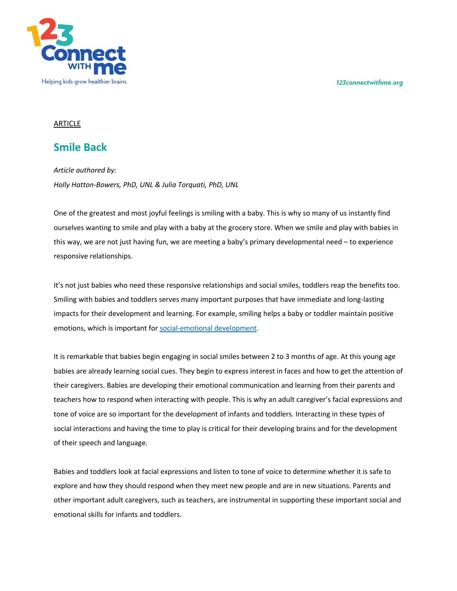*123connectwithme.org*



## ARTICLE

## **Smile Back**

*Article authored by: Holly Hatton-Bowers, PhD, UNL & Julia Torquati, PhD, UNL*

One of the greatest and most joyful feelings is smiling with a baby. This is why so many of us instantly find ourselves wanting to smile and play with a baby at the grocery store. When we smile and play with babies in this way, we are not just having fun, we are meeting a baby's primary developmental need – to experience responsive relationships.

It's not just babies who need these responsive relationships and social smiles, toddlers reap the benefits too. Smiling with babies and toddlers serves many important purposes that have immediate and long-lasting impacts for their development and learning. For example, smiling helps a baby or toddler maintain positive emotions, which is important for social-emotional development.

It is remarkable that babies begin engaging in social smiles between 2 to 3 months of age. At this young age babies are already learning social cues. They begin to express interest in faces and how to get the attention of their caregivers. Babies are developing their emotional communication and learning from their parents and teachers how to respond when interacting with people. This is why an adult caregiver's facial expressions and tone of voice are so important for the development of infants and toddlers. Interacting in these types of social interactions and having the time to play is critical for their developing brains and for the development of their speech and language.

Babies and toddlers look at facial expressions and listen to tone of voice to determine whether it is safe to explore and how they should respond when they meet new people and are in new situations. Parents and other important adult caregivers, such as teachers, are instrumental in supporting these important social and emotional skills for infants and toddlers.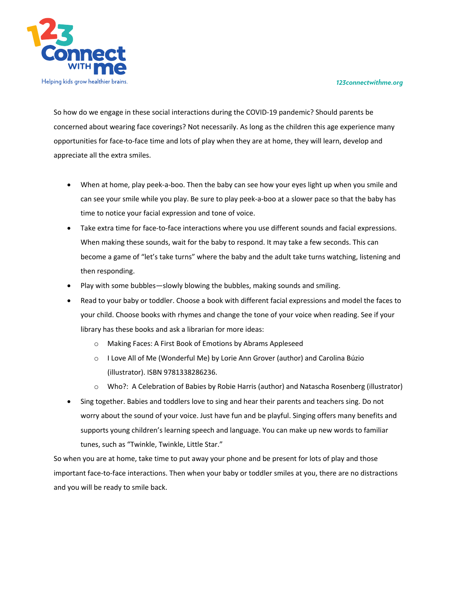## *123connectwithme.org*



So how do we engage in these social interactions during the COVID-19 pandemic? Should parents be concerned about wearing face coverings? Not necessarily. As long as the children this age experience many opportunities for face-to-face time and lots of play when they are at home, they will learn, develop and appreciate all the extra smiles.

- When at home, play peek-a-boo. Then the baby can see how your eyes light up when you smile and can see your smile while you play. Be sure to play peek-a-boo at a slower pace so that the baby has time to notice your facial expression and tone of voice.
- Take extra time for face-to-face interactions where you use different sounds and facial expressions. When making these sounds, wait for the baby to respond. It may take a few seconds. This can become a game of "let's take turns" where the baby and the adult take turns watching, listening and then responding.
- Play with some bubbles—slowly blowing the bubbles, making sounds and smiling.
- Read to your baby or toddler. Choose a book with different facial expressions and model the faces to your child. Choose books with rhymes and change the tone of your voice when reading. See if your library has these books and ask a librarian for more ideas:
	- o Making Faces: A First Book of Emotions by Abrams Appleseed
	- o I Love All of Me (Wonderful Me) by Lorie Ann Grover (author) and Carolina Búzio (illustrator). ISBN 9781338286236.
	- o Who?: A Celebration of Babies by Robie Harris (author) and Natascha Rosenberg (illustrator)
- Sing together. Babies and toddlers love to sing and hear their parents and teachers sing. Do not worry about the sound of your voice. Just have fun and be playful. Singing offers many benefits and supports young children's learning speech and language. You can make up new words to familiar tunes, such as "Twinkle, Twinkle, Little Star."

So when you are at home, take time to put away your phone and be present for lots of play and those important face-to-face interactions. Then when your baby or toddler smiles at you, there are no distractions and you will be ready to smile back.